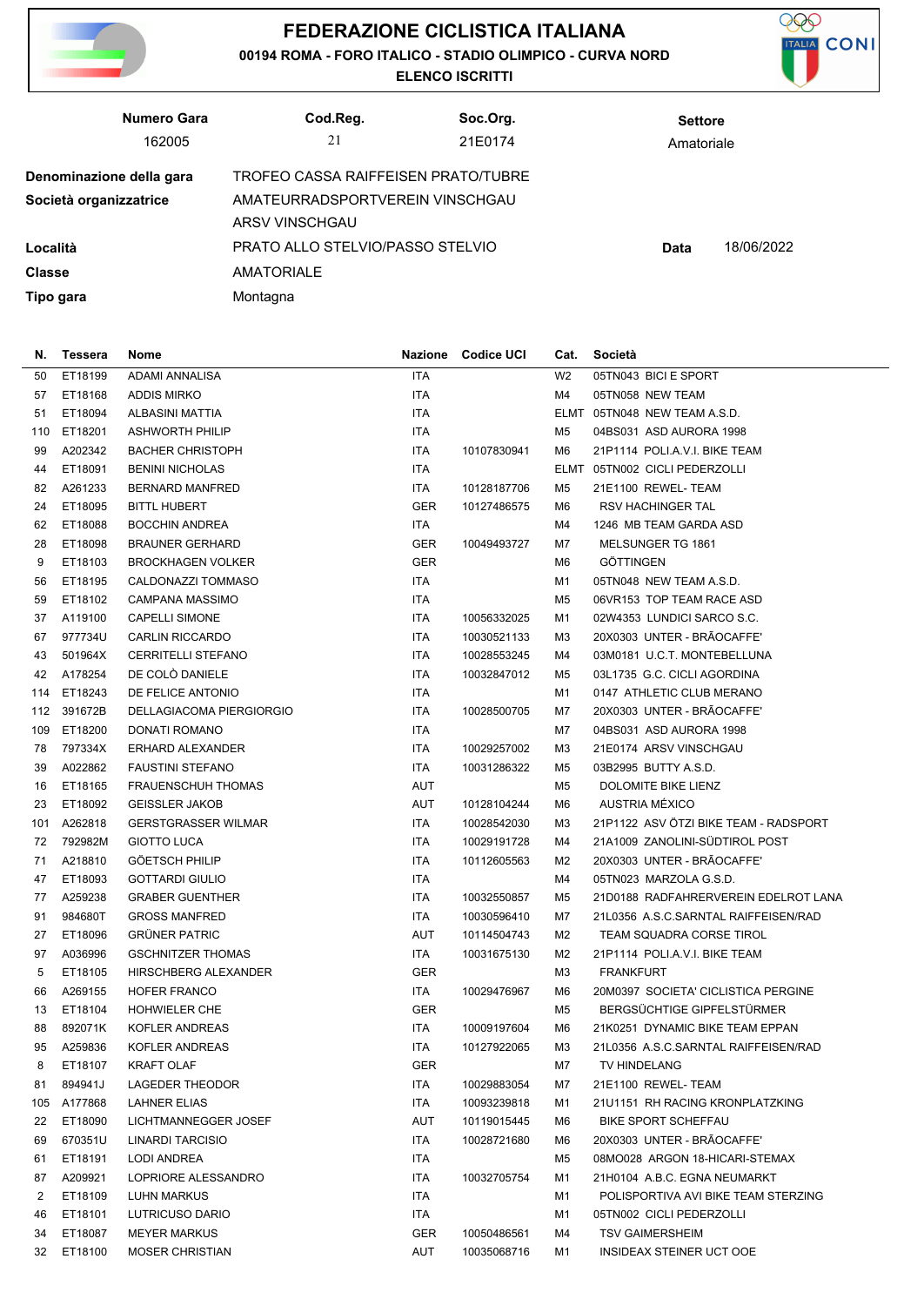

## **FEDERAZIONE CICLISTICA ITALIANA**

**00194 ROMA - FORO ITALICO - STADIO OLIMPICO - CURVA NORD**

**ELENCO ISCRITTI**



|                        | Numero Gara                                                     | Cod.Reg.                         | Soc.Org. | <b>Settore</b> |  |
|------------------------|-----------------------------------------------------------------|----------------------------------|----------|----------------|--|
|                        | 162005                                                          | 21                               | 21E0174  | Amatoriale     |  |
|                        | TROFEO CASSA RAIFFEISEN PRATO/TUBRE<br>Denominazione della gara |                                  |          |                |  |
| Società organizzatrice | AMATEURRADSPORTVEREIN VINSCHGAU                                 |                                  |          |                |  |
|                        |                                                                 | ARSV VINSCHGAU                   |          |                |  |
| Località               |                                                                 | PRATO ALLO STELVIO/PASSO STELVIO | Data     | 18/06/2022     |  |
| <b>Classe</b>          |                                                                 | <b>AMATORIALE</b>                |          |                |  |
| Tipo gara              |                                                                 | Montagna                         |          |                |  |

| N.  | Tessera     | Nome                       |            | Nazione Codice UCI | Cat.           | Società                               |
|-----|-------------|----------------------------|------------|--------------------|----------------|---------------------------------------|
| 50  | ET18199     | <b>ADAMI ANNALISA</b>      | ITA        |                    | W <sub>2</sub> | 05TN043 BICI E SPORT                  |
| 57  | ET18168     | <b>ADDIS MIRKO</b>         | ITA        |                    | M4             | 05TN058 NEW TEAM                      |
| 51  | ET18094     | ALBASINI MATTIA            | ITA        |                    |                | ELMT 05TN048 NEW TEAM A.S.D.          |
| 110 | ET18201     | <b>ASHWORTH PHILIP</b>     | ITA        |                    | M5             | 04BS031 ASD AURORA 1998               |
| 99  | A202342     | <b>BACHER CHRISTOPH</b>    | <b>ITA</b> | 10107830941        | M6             | 21P1114 POLI.A.V.I. BIKE TEAM         |
| 44  | ET18091     | <b>BENINI NICHOLAS</b>     | ITA        |                    |                | ELMT 05TN002 CICLI PEDERZOLLI         |
| 82  | A261233     | <b>BERNARD MANFRED</b>     | ITA        | 10128187706        | M5             | 21E1100 REWEL-TEAM                    |
| 24  | ET18095     | <b>BITTL HUBERT</b>        | GER        | 10127486575        | M6             | <b>RSV HACHINGER TAL</b>              |
| 62  | ET18088     | <b>BOCCHIN ANDREA</b>      | <b>ITA</b> |                    | M4             | 1246 MB TEAM GARDA ASD                |
| 28  | ET18098     | <b>BRAUNER GERHARD</b>     | <b>GER</b> | 10049493727        | M7             | MELSUNGER TG 1861                     |
| 9   | ET18103     | <b>BROCKHAGEN VOLKER</b>   | <b>GER</b> |                    | M6             | <b>GOTTINGEN</b>                      |
| 56  | ET18195     | CALDONAZZI TOMMASO         | ITA        |                    | M1             | 05TN048 NEW TEAM A.S.D.               |
| 59  | ET18102     | <b>CAMPANA MASSIMO</b>     | ITA        |                    | M5             | 06VR153 TOP TEAM RACE ASD             |
| 37  | A119100     | <b>CAPELLI SIMONE</b>      | ITA        | 10056332025        | M1             | 02W4353 LUNDICI SARCO S.C.            |
| 67  | 977734U     | <b>CARLIN RICCARDO</b>     | ITA        | 10030521133        | M3             | 20X0303 UNTER - BRAOCAFFE'            |
| 43  | 501964X     | <b>CERRITELLI STEFANO</b>  | ITA        | 10028553245        | M4             | 03M0181 U.C.T. MONTEBELLUNA           |
| 42  | A178254     | DE COLÒ DANIELE            | ITA        | 10032847012        | M5             | 03L1735 G.C. CICLI AGORDINA           |
| 114 | ET18243     | DE FELICE ANTONIO          | ITA        |                    | M1             | 0147 ATHLETIC CLUB MERANO             |
| 112 | 391672B     | DELLAGIACOMA PIERGIORGIO   | ITA        | 10028500705        | M7             | 20X0303 UNTER - BRÃOCAFFE'            |
| 109 | ET18200     | DONATI ROMANO              | ITA        |                    | M7             | 04BS031 ASD AURORA 1998               |
| 78  | 797334X     | ERHARD ALEXANDER           | ITA        | 10029257002        | M3             | 21E0174 ARSV VINSCHGAU                |
| 39  | A022862     | <b>FAUSTINI STEFANO</b>    | ITA        | 10031286322        | M5             | 03B2995 BUTTY A.S.D.                  |
| 16  | ET18165     | <b>FRAUENSCHUH THOMAS</b>  | <b>AUT</b> |                    | M5             | DOLOMITE BIKE LIENZ                   |
| 23  | ET18092     | <b>GEISSLER JAKOB</b>      | <b>AUT</b> | 10128104244        | M6             | AUSTRIA MÉXICO                        |
| 101 | A262818     | <b>GERSTGRASSER WILMAR</b> | ITA        | 10028542030        | M3             | 21P1122 ASV ÖTZI BIKE TEAM - RADSPORT |
| 72  | 792982M     | <b>GIOTTO LUCA</b>         | ITA        | 10029191728        | M4             | 21A1009 ZANOLINI-SÜDTIROL POST        |
| 71  | A218810     | <b>GOETSCH PHILIP</b>      | ITA        | 10112605563        | M2             | 20X0303 UNTER - BRÃOCAFFE'            |
| 47  | ET18093     | <b>GOTTARDI GIULIO</b>     | ITA        |                    | M4             | 05TN023 MARZOLA G.S.D.                |
| 77  | A259238     | <b>GRABER GUENTHER</b>     | ITA        | 10032550857        | M5             | 21D0188 RADFAHRERVEREIN EDELROT LANA  |
| 91  | 984680T     | <b>GROSS MANFRED</b>       | ITA        | 10030596410        | M7             | 21L0356 A.S.C.SARNTAL RAIFFEISEN/RAD  |
| 27  | ET18096     | <b>GRÜNER PATRIC</b>       | AUT        | 10114504743        | M2             | <b>TEAM SQUADRA CORSE TIROL</b>       |
| 97  | A036996     | <b>GSCHNITZER THOMAS</b>   | ITA.       | 10031675130        | M2             | 21P1114 POLI.A.V.I. BIKE TEAM         |
| 5   | ET18105     | HIRSCHBERG ALEXANDER       | <b>GER</b> |                    | M3             | <b>FRANKFURT</b>                      |
| 66  | A269155     | <b>HOFER FRANCO</b>        | ITA.       | 10029476967        | M6             | 20M0397 SOCIETA' CICLISTICA PERGINE   |
| 13  | ET18104     | <b>HOHWIELER CHE</b>       | <b>GER</b> |                    | M5             | BERGSÜCHTIGE GIPFELSTÜRMER            |
| 88  | 892071K     | <b>KOFLER ANDREAS</b>      | <b>ITA</b> | 10009197604        | M6             | 21K0251 DYNAMIC BIKE TEAM EPPAN       |
|     | 95 A259836  | KOFLER ANDREAS             | <b>ITA</b> | 10127922065        | ΜЗ             | 21L0356 A.S.C.SARNTAL RAIFFEISEN/RAD  |
| 8   | ET18107     | <b>KRAFT OLAF</b>          | GER        |                    | M7             | TV HINDELANG                          |
| 81  | 894941J     | LAGEDER THEODOR            | ITA.       | 10029883054        | M7             | 21E1100 REWEL-TEAM                    |
|     | 105 A177868 | <b>LAHNER ELIAS</b>        | ITA.       | 10093239818        | M1             | 21U1151 RH RACING KRONPLATZKING       |
| 22  | ET18090     | LICHTMANNEGGER JOSEF       | AUT        | 10119015445        | M6             | <b>BIKE SPORT SCHEFFAU</b>            |
| 69  | 670351U     | LINARDI TARCISIO           | ITA        | 10028721680        | M6             | 20X0303 UNTER - BRAOCAFFE'            |
| 61  | ET18191     | LODI ANDREA                | ITA.       |                    | M5             | 08MO028 ARGON 18-HICARI-STEMAX        |
| 87  | A209921     | LOPRIORE ALESSANDRO        | ITA        | 10032705754        | M1             | 21H0104 A.B.C. EGNA NEUMARKT          |
| 2   | ET18109     | LUHN MARKUS                | ITA        |                    | M1             | POLISPORTIVA AVI BIKE TEAM STERZING   |
| 46  | ET18101     | LUTRICUSO DARIO            | ITA        |                    | M1             | 05TN002 CICLI PEDERZOLLI              |
| 34  | ET18087     | <b>MEYER MARKUS</b>        | GER        | 10050486561        | M4             | <b>TSV GAIMERSHEIM</b>                |
| 32  | ET18100     | <b>MOSER CHRISTIAN</b>     | AUT        | 10035068716        | M1             | INSIDEAX STEINER UCT OOE              |